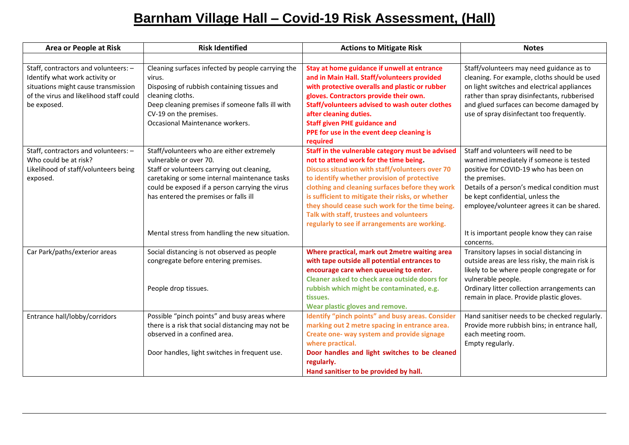## **Barnham Village Hall – Covid-19 Risk Assessment, (Hall)**

| <b>Area or People at Risk</b>                                                                                                                                           | <b>Risk Identified</b>                                                                                                                                                                                                                                                                                           | <b>Actions to Mitigate Risk</b>                                                                                                                                                                                                                                                                                                                                                                                                                      | <b>Notes</b>                                                                                                                                                                                                                                                                                                               |
|-------------------------------------------------------------------------------------------------------------------------------------------------------------------------|------------------------------------------------------------------------------------------------------------------------------------------------------------------------------------------------------------------------------------------------------------------------------------------------------------------|------------------------------------------------------------------------------------------------------------------------------------------------------------------------------------------------------------------------------------------------------------------------------------------------------------------------------------------------------------------------------------------------------------------------------------------------------|----------------------------------------------------------------------------------------------------------------------------------------------------------------------------------------------------------------------------------------------------------------------------------------------------------------------------|
|                                                                                                                                                                         |                                                                                                                                                                                                                                                                                                                  |                                                                                                                                                                                                                                                                                                                                                                                                                                                      |                                                                                                                                                                                                                                                                                                                            |
| Staff, contractors and volunteers: -<br>Identify what work activity or<br>situations might cause transmission<br>of the virus and likelihood staff could<br>be exposed. | Cleaning surfaces infected by people carrying the<br>virus.<br>Disposing of rubbish containing tissues and<br>cleaning cloths.<br>Deep cleaning premises if someone falls ill with<br>CV-19 on the premises.<br>Occasional Maintenance workers.                                                                  | Stay at home guidance if unwell at entrance<br>and in Main Hall. Staff/volunteers provided<br>with protective overalls and plastic or rubber<br>gloves. Contractors provide their own.<br><b>Staff/volunteers advised to wash outer clothes</b><br>after cleaning duties.<br><b>Staff given PHE guidance and</b><br>PPE for use in the event deep cleaning is<br>required                                                                            | Staff/volunteers may need guidance as to<br>cleaning. For example, cloths should be used<br>on light switches and electrical appliances<br>rather than spray disinfectants, rubberised<br>and glued surfaces can become damaged by<br>use of spray disinfectant too frequently.                                            |
| Staff, contractors and volunteers: -<br>Who could be at risk?<br>Likelihood of staff/volunteers being<br>exposed.                                                       | Staff/volunteers who are either extremely<br>vulnerable or over 70.<br>Staff or volunteers carrying out cleaning,<br>caretaking or some internal maintenance tasks<br>could be exposed if a person carrying the virus<br>has entered the premises or falls ill<br>Mental stress from handling the new situation. | Staff in the vulnerable category must be advised<br>not to attend work for the time being.<br>Discuss situation with staff/volunteers over 70<br>to identify whether provision of protective<br>clothing and cleaning surfaces before they work<br>is sufficient to mitigate their risks, or whether<br>they should cease such work for the time being.<br>Talk with staff, trustees and volunteers<br>regularly to see if arrangements are working. | Staff and volunteers will need to be<br>warned immediately if someone is tested<br>positive for COVID-19 who has been on<br>the premises.<br>Details of a person's medical condition must<br>be kept confidential, unless the<br>employee/volunteer agrees it can be shared.<br>It is important people know they can raise |
|                                                                                                                                                                         |                                                                                                                                                                                                                                                                                                                  |                                                                                                                                                                                                                                                                                                                                                                                                                                                      | concerns.                                                                                                                                                                                                                                                                                                                  |
| Car Park/paths/exterior areas                                                                                                                                           | Social distancing is not observed as people<br>congregate before entering premises.<br>People drop tissues.                                                                                                                                                                                                      | Where practical, mark out 2metre waiting area<br>with tape outside all potential entrances to<br>encourage care when queueing to enter.<br><b>Cleaner asked to check area outside doors for</b><br>rubbish which might be contaminated, e.g.<br>tissues.<br>Wear plastic gloves and remove.                                                                                                                                                          | Transitory lapses in social distancing in<br>outside areas are less risky, the main risk is<br>likely to be where people congregate or for<br>vulnerable people.<br>Ordinary litter collection arrangements can<br>remain in place. Provide plastic gloves.                                                                |
| Entrance hall/lobby/corridors                                                                                                                                           | Possible "pinch points" and busy areas where<br>there is a risk that social distancing may not be<br>observed in a confined area.<br>Door handles, light switches in frequent use.                                                                                                                               | Identify "pinch points" and busy areas. Consider<br>marking out 2 metre spacing in entrance area.<br>Create one- way system and provide signage<br>where practical.<br>Door handles and light switches to be cleaned<br>regularly.<br>Hand sanitiser to be provided by hall.                                                                                                                                                                         | Hand sanitiser needs to be checked regularly.<br>Provide more rubbish bins; in entrance hall,<br>each meeting room.<br>Empty regularly.                                                                                                                                                                                    |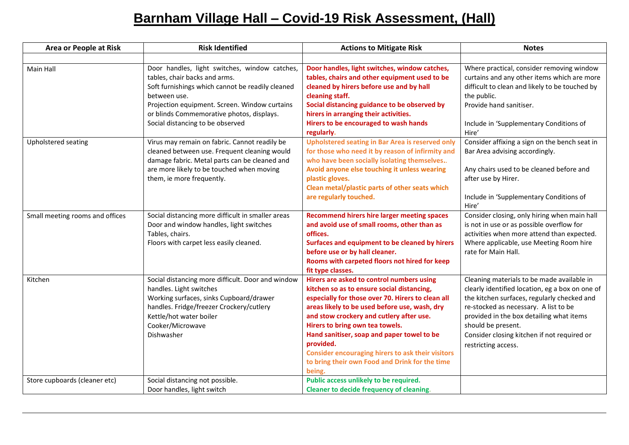## **Barnham Village Hall – Covid-19 Risk Assessment, (Hall)**

| <b>Area or People at Risk</b>   | <b>Risk Identified</b>                                                                                                                                                                                                                                                               | <b>Actions to Mitigate Risk</b>                                                                                                                                                                                                                                                                                                                                                                                                                          | <b>Notes</b>                                                                                                                                                                                                                                                                                                                  |
|---------------------------------|--------------------------------------------------------------------------------------------------------------------------------------------------------------------------------------------------------------------------------------------------------------------------------------|----------------------------------------------------------------------------------------------------------------------------------------------------------------------------------------------------------------------------------------------------------------------------------------------------------------------------------------------------------------------------------------------------------------------------------------------------------|-------------------------------------------------------------------------------------------------------------------------------------------------------------------------------------------------------------------------------------------------------------------------------------------------------------------------------|
|                                 |                                                                                                                                                                                                                                                                                      |                                                                                                                                                                                                                                                                                                                                                                                                                                                          |                                                                                                                                                                                                                                                                                                                               |
| Main Hall                       | Door handles, light switches, window catches,<br>tables, chair backs and arms.<br>Soft furnishings which cannot be readily cleaned<br>between use.<br>Projection equipment. Screen. Window curtains<br>or blinds Commemorative photos, displays.<br>Social distancing to be observed | Door handles, light switches, window catches,<br>tables, chairs and other equipment used to be<br>cleaned by hirers before use and by hall<br>cleaning staff.<br>Social distancing guidance to be observed by<br>hirers in arranging their activities.<br>Hirers to be encouraged to wash hands<br>regularly.                                                                                                                                            | Where practical, consider removing window<br>curtains and any other items which are more<br>difficult to clean and likely to be touched by<br>the public.<br>Provide hand sanitiser.<br>Include in 'Supplementary Conditions of<br>Hire'                                                                                      |
| Upholstered seating             | Virus may remain on fabric. Cannot readily be<br>cleaned between use. Frequent cleaning would<br>damage fabric. Metal parts can be cleaned and<br>are more likely to be touched when moving<br>them, ie more frequently.                                                             | <b>Upholstered seating in Bar Area is reserved only</b><br>for those who need it by reason of infirmity and<br>who have been socially isolating themselves<br>Avoid anyone else touching it unless wearing<br>plastic gloves.<br>Clean metal/plastic parts of other seats which<br>are regularly touched.                                                                                                                                                | Consider affixing a sign on the bench seat in<br>Bar Area advising accordingly.<br>Any chairs used to be cleaned before and<br>after use by Hirer.<br>Include in 'Supplementary Conditions of<br>Hire'                                                                                                                        |
| Small meeting rooms and offices | Social distancing more difficult in smaller areas<br>Door and window handles, light switches<br>Tables, chairs.<br>Floors with carpet less easily cleaned.                                                                                                                           | <b>Recommend hirers hire larger meeting spaces</b><br>and avoid use of small rooms, other than as<br>offices.<br>Surfaces and equipment to be cleaned by hirers<br>before use or by hall cleaner.<br>Rooms with carpeted floors not hired for keep<br>fit type classes.                                                                                                                                                                                  | Consider closing, only hiring when main hall<br>is not in use or as possible overflow for<br>activities when more attend than expected.<br>Where applicable, use Meeting Room hire<br>rate for Main Hall.                                                                                                                     |
| Kitchen                         | Social distancing more difficult. Door and window<br>handles. Light switches<br>Working surfaces, sinks Cupboard/drawer<br>handles. Fridge/freezer Crockery/cutlery<br>Kettle/hot water boiler<br>Cooker/Microwave<br>Dishwasher                                                     | Hirers are asked to control numbers using<br>kitchen so as to ensure social distancing,<br>especially for those over 70. Hirers to clean all<br>areas likely to be used before use, wash, dry<br>and stow crockery and cutlery after use.<br>Hirers to bring own tea towels.<br>Hand sanitiser, soap and paper towel to be<br>provided.<br>Consider encouraging hirers to ask their visitors<br>to bring their own Food and Drink for the time<br>being. | Cleaning materials to be made available in<br>clearly identified location, eg a box on one of<br>the kitchen surfaces, regularly checked and<br>re-stocked as necessary. A list to be<br>provided in the box detailing what items<br>should be present.<br>Consider closing kitchen if not required or<br>restricting access. |
| Store cupboards (cleaner etc)   | Social distancing not possible.<br>Door handles, light switch                                                                                                                                                                                                                        | Public access unlikely to be required.<br><b>Cleaner to decide frequency of cleaning.</b>                                                                                                                                                                                                                                                                                                                                                                |                                                                                                                                                                                                                                                                                                                               |